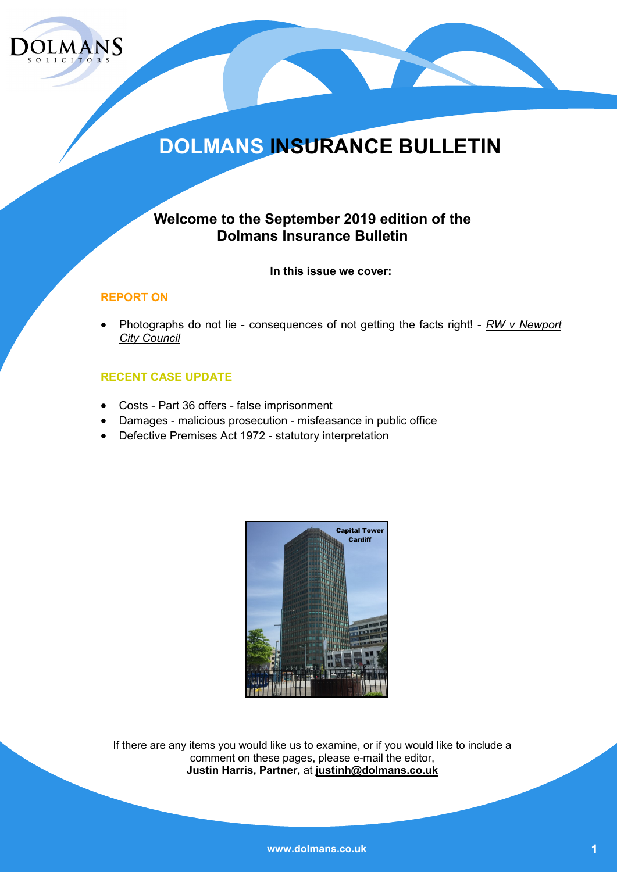

## **DOLMANS INSURANCE BULLETIN**

### **Welcome to the September 2019 edition of the Dolmans Insurance Bulletin**

**In this issue we cover:**

### **REPORT ON**

 Photographs do not lie - consequences of not getting the facts right! - *RW v Newport City Council*

### **RECENT CASE UPDATE**

- Costs Part 36 offers false imprisonment
- Damages malicious prosecution misfeasance in public office
- Defective Premises Act 1972 statutory interpretation



If there are any items you would like us to examine, or if you would like to include a comment on these pages, please e-mail the editor, **Justin Harris, Partner,** at **justinh@dolmans.co.uk**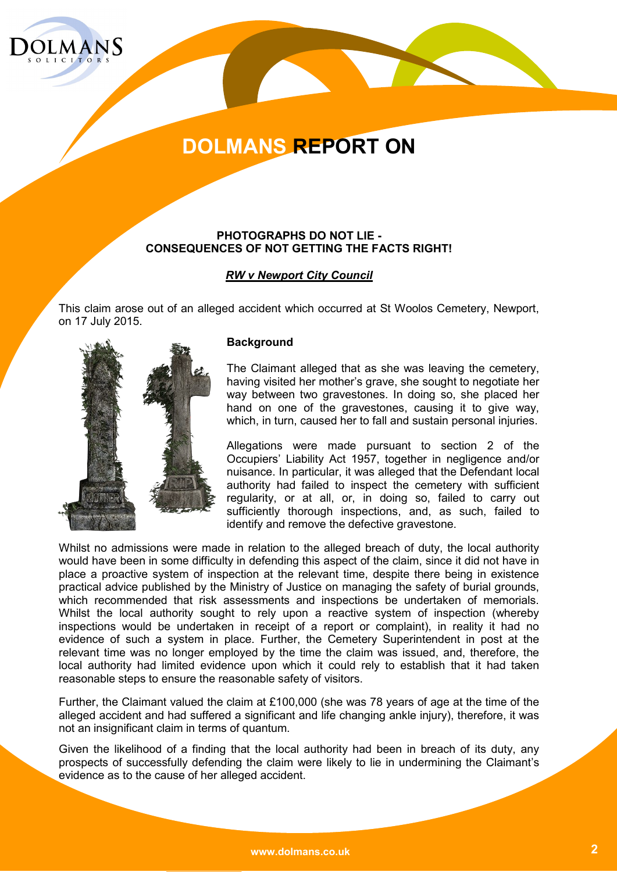

### **PHOTOGRAPHS DO NOT LIE - CONSEQUENCES OF NOT GETTING THE FACTS RIGHT!**

### *RW v Newport City Council*

This claim arose out of an alleged accident which occurred at St Woolos Cemetery, Newport, on 17 July 2015.



#### **Background**

The Claimant alleged that as she was leaving the cemetery, having visited her mother's grave, she sought to negotiate her way between two gravestones. In doing so, she placed her hand on one of the gravestones, causing it to give way, which, in turn, caused her to fall and sustain personal injuries.

Allegations were made pursuant to section 2 of the Occupiers' Liability Act 1957, together in negligence and/or nuisance. In particular, it was alleged that the Defendant local authority had failed to inspect the cemetery with sufficient regularity, or at all, or, in doing so, failed to carry out sufficiently thorough inspections, and, as such, failed to identify and remove the defective gravestone.

Whilst no admissions were made in relation to the alleged breach of duty, the local authority would have been in some difficulty in defending this aspect of the claim, since it did not have in place a proactive system of inspection at the relevant time, despite there being in existence practical advice published by the Ministry of Justice on managing the safety of burial grounds, which recommended that risk assessments and inspections be undertaken of memorials. Whilst the local authority sought to rely upon a reactive system of inspection (whereby inspections would be undertaken in receipt of a report or complaint), in reality it had no evidence of such a system in place. Further, the Cemetery Superintendent in post at the relevant time was no longer employed by the time the claim was issued, and, therefore, the local authority had limited evidence upon which it could rely to establish that it had taken reasonable steps to ensure the reasonable safety of visitors.

Further, the Claimant valued the claim at £100,000 (she was 78 years of age at the time of the alleged accident and had suffered a significant and life changing ankle injury), therefore, it was not an insignificant claim in terms of quantum.

Given the likelihood of a finding that the local authority had been in breach of its duty, any prospects of successfully defending the claim were likely to lie in undermining the Claimant's evidence as to the cause of her alleged accident.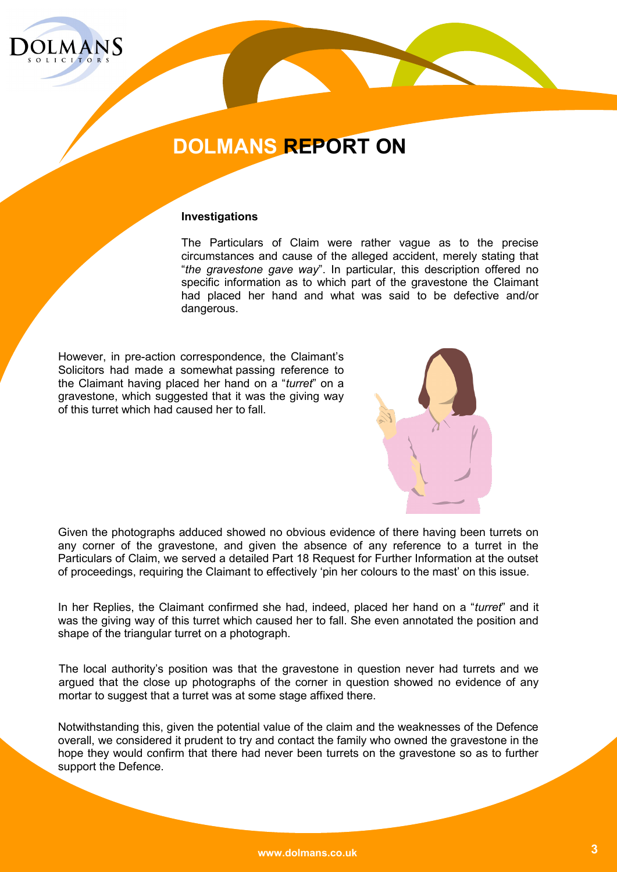

#### **Investigations**

The Particulars of Claim were rather vague as to the precise circumstances and cause of the alleged accident, merely stating that "*the gravestone gave way*". In particular, this description offered no specific information as to which part of the gravestone the Claimant had placed her hand and what was said to be defective and/or dangerous.

However, in pre-action correspondence, the Claimant's Solicitors had made a somewhat passing reference to the Claimant having placed her hand on a "*turret*" on a gravestone, which suggested that it was the giving way of this turret which had caused her to fall.



Given the photographs adduced showed no obvious evidence of there having been turrets on any corner of the gravestone, and given the absence of any reference to a turret in the Particulars of Claim, we served a detailed Part 18 Request for Further Information at the outset of proceedings, requiring the Claimant to effectively 'pin her colours to the mast' on this issue.

In her Replies, the Claimant confirmed she had, indeed, placed her hand on a "*turret*" and it was the giving way of this turret which caused her to fall. She even annotated the position and shape of the triangular turret on a photograph.

The local authority's position was that the gravestone in question never had turrets and we argued that the close up photographs of the corner in question showed no evidence of any mortar to suggest that a turret was at some stage affixed there.

Notwithstanding this, given the potential value of the claim and the weaknesses of the Defence overall, we considered it prudent to try and contact the family who owned the gravestone in the hope they would confirm that there had never been turrets on the gravestone so as to further support the Defence.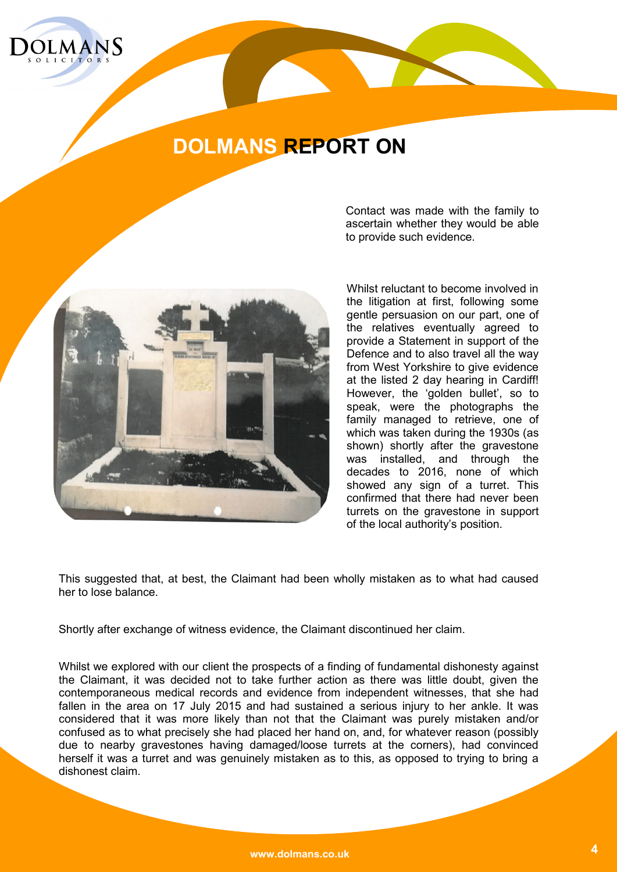



Contact was made with the family to ascertain whether they would be able to provide such evidence.

Whilst reluctant to become involved in the litigation at first, following some gentle persuasion on our part, one of the relatives eventually agreed to provide a Statement in support of the Defence and to also travel all the way from West Yorkshire to give evidence at the listed 2 day hearing in Cardiff! However, the 'golden bullet', so to speak, were the photographs the family managed to retrieve, one of which was taken during the 1930s (as shown) shortly after the gravestone was installed, and through the decades to 2016, none of which showed any sign of a turret. This confirmed that there had never been turrets on the gravestone in support of the local authority's position.

This suggested that, at best, the Claimant had been wholly mistaken as to what had caused her to lose balance.

Shortly after exchange of witness evidence, the Claimant discontinued her claim.

Whilst we explored with our client the prospects of a finding of fundamental dishonesty against the Claimant, it was decided not to take further action as there was little doubt, given the contemporaneous medical records and evidence from independent witnesses, that she had fallen in the area on 17 July 2015 and had sustained a serious injury to her ankle. It was considered that it was more likely than not that the Claimant was purely mistaken and/or confused as to what precisely she had placed her hand on, and, for whatever reason (possibly due to nearby gravestones having damaged/loose turrets at the corners), had convinced herself it was a turret and was genuinely mistaken as to this, as opposed to trying to bring a dishonest claim.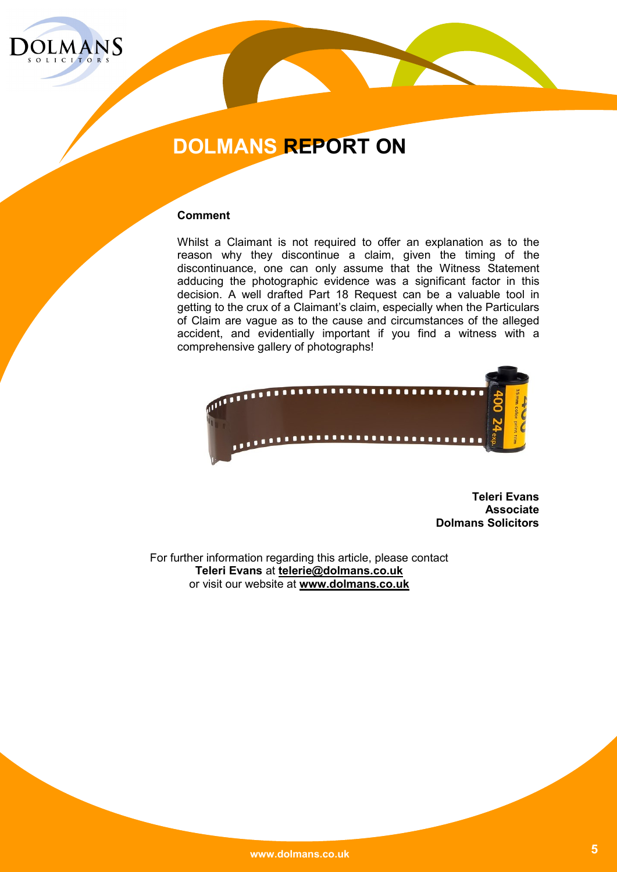

### **Comment**

Whilst a Claimant is not required to offer an explanation as to the reason why they discontinue a claim, given the timing of the discontinuance, one can only assume that the Witness Statement adducing the photographic evidence was a significant factor in this decision. A well drafted Part 18 Request can be a valuable tool in getting to the crux of a Claimant's claim, especially when the Particulars of Claim are vague as to the cause and circumstances of the alleged accident, and evidentially important if you find a witness with a comprehensive gallery of photographs!



**Teleri Evans Associate Dolmans Solicitors** 

For further information regarding this article, please contact **Teleri Evans** at **telerie@dolmans.co.uk** or visit our website at **www.dolmans.co.uk**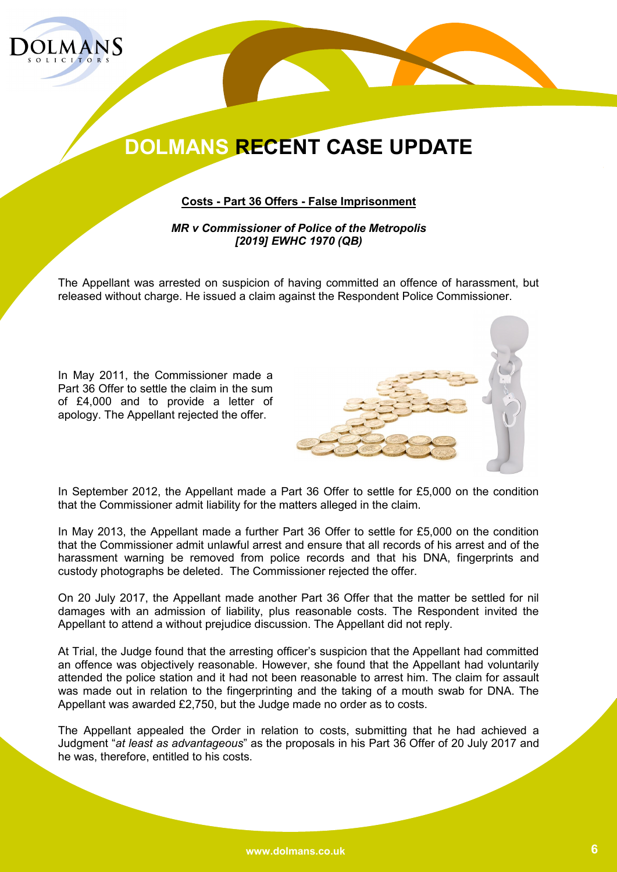

**Costs - Part 36 Offers - False Imprisonment**

*MR v Commissioner of Police of the Metropolis [2019] EWHC 1970 (QB)*

The Appellant was arrested on suspicion of having committed an offence of harassment, but released without charge. He issued a claim against the Respondent Police Commissioner.

In May 2011, the Commissioner made a Part 36 Offer to settle the claim in the sum of £4,000 and to provide a letter of apology. The Appellant rejected the offer.



In September 2012, the Appellant made a Part 36 Offer to settle for £5,000 on the condition that the Commissioner admit liability for the matters alleged in the claim.

In May 2013, the Appellant made a further Part 36 Offer to settle for £5,000 on the condition that the Commissioner admit unlawful arrest and ensure that all records of his arrest and of the harassment warning be removed from police records and that his DNA, fingerprints and custody photographs be deleted. The Commissioner rejected the offer.

On 20 July 2017, the Appellant made another Part 36 Offer that the matter be settled for nil damages with an admission of liability, plus reasonable costs. The Respondent invited the Appellant to attend a without prejudice discussion. The Appellant did not reply.

At Trial, the Judge found that the arresting officer's suspicion that the Appellant had committed an offence was objectively reasonable. However, she found that the Appellant had voluntarily attended the police station and it had not been reasonable to arrest him. The claim for assault was made out in relation to the fingerprinting and the taking of a mouth swab for DNA. The Appellant was awarded £2,750, but the Judge made no order as to costs.

The Appellant appealed the Order in relation to costs, submitting that he had achieved a Judgment "*at least as advantageous*" as the proposals in his Part 36 Offer of 20 July 2017 and he was, therefore, entitled to his costs.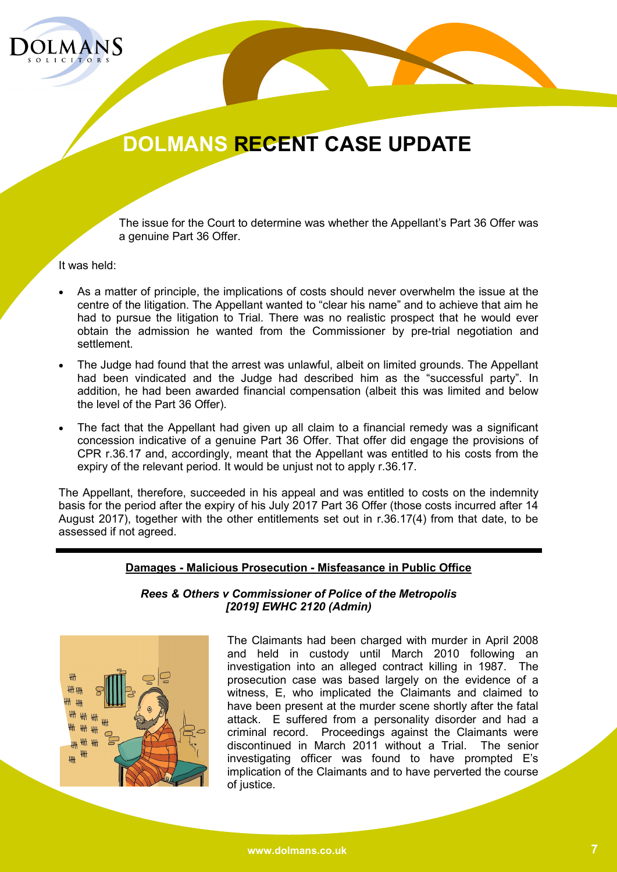

The issue for the Court to determine was whether the Appellant's Part 36 Offer was a genuine Part 36 Offer.

It was held:

- As a matter of principle, the implications of costs should never overwhelm the issue at the centre of the litigation. The Appellant wanted to "clear his name" and to achieve that aim he had to pursue the litigation to Trial. There was no realistic prospect that he would ever obtain the admission he wanted from the Commissioner by pre-trial negotiation and settlement.
- The Judge had found that the arrest was unlawful, albeit on limited grounds. The Appellant had been vindicated and the Judge had described him as the "successful party". In addition, he had been awarded financial compensation (albeit this was limited and below the level of the Part 36 Offer).
- The fact that the Appellant had given up all claim to a financial remedy was a significant concession indicative of a genuine Part 36 Offer. That offer did engage the provisions of CPR r.36.17 and, accordingly, meant that the Appellant was entitled to his costs from the expiry of the relevant period. It would be unjust not to apply r.36.17.

The Appellant, therefore, succeeded in his appeal and was entitled to costs on the indemnity basis for the period after the expiry of his July 2017 Part 36 Offer (those costs incurred after 14 August 2017), together with the other entitlements set out in r.36.17(4) from that date, to be assessed if not agreed.

#### **Damages - Malicious Prosecution - Misfeasance in Public Office**

#### *Rees & Others v Commissioner of Police of the Metropolis [2019] EWHC 2120 (Admin)*



The Claimants had been charged with murder in April 2008 and held in custody until March 2010 following an investigation into an alleged contract killing in 1987. The prosecution case was based largely on the evidence of a witness, E, who implicated the Claimants and claimed to have been present at the murder scene shortly after the fatal attack. E suffered from a personality disorder and had a criminal record. Proceedings against the Claimants were discontinued in March 2011 without a Trial. The senior investigating officer was found to have prompted E's implication of the Claimants and to have perverted the course of justice.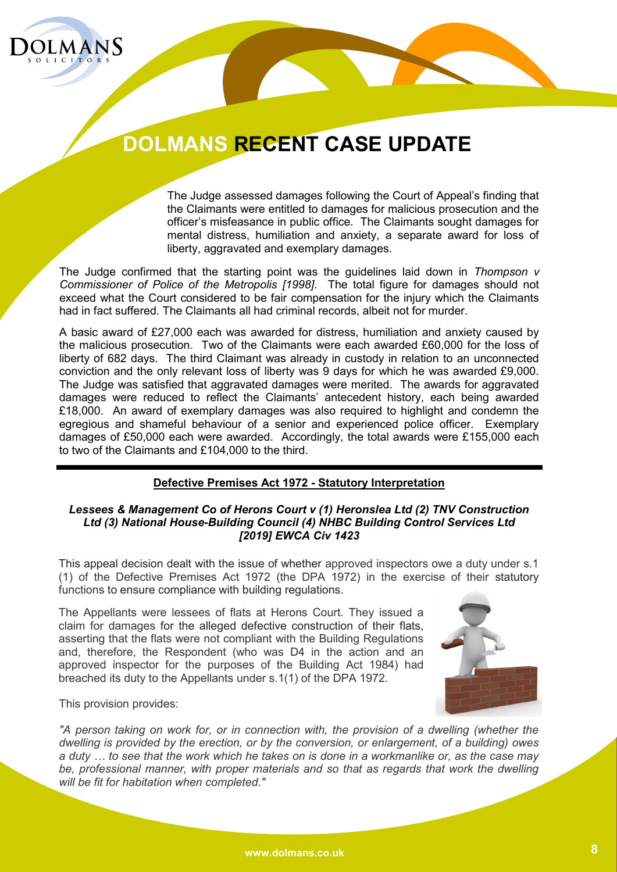

The Judge assessed damages following the Court of Appeal's finding that the Claimants were entitled to damages for malicious prosecution and the officer's misfeasance in public office. The Claimants sought damages for mental distress, humiliation and anxiety, a separate award for loss of liberty, aggravated and exemplary damages.

The Judge confirmed that the starting point was the guidelines laid down in *Thompson v Commissioner of Police of the Metropolis [1998]*. The total figure for damages should not exceed what the Court considered to be fair compensation for the injury which the Claimants had in fact suffered. The Claimants all had criminal records, albeit not for murder.

A basic award of £27,000 each was awarded for distress, humiliation and anxiety caused by the malicious prosecution. Two of the Claimants were each awarded £60,000 for the loss of liberty of 682 days. The third Claimant was already in custody in relation to an unconnected conviction and the only relevant loss of liberty was 9 days for which he was awarded £9,000. The Judge was satisfied that aggravated damages were merited. The awards for aggravated damages were reduced to reflect the Claimants' antecedent history, each being awarded £18,000. An award of exemplary damages was also required to highlight and condemn the egregious and shameful behaviour of a senior and experienced police officer. Exemplary damages of £50,000 each were awarded. Accordingly, the total awards were £155,000 each to two of the Claimants and £104,000 to the third.

### **Defective Premises Act 1972 - Statutory Interpretation**

### *Lessees & Management Co of Herons Court v (1) Heronslea Ltd (2) TNV Construction Ltd (3) National House-Building Council (4) NHBC Building Control Services Ltd [2019] EWCA Civ 1423*

This appeal decision dealt with the issue of whether approved inspectors owe a duty under s.1 (1) of the Defective Premises Act 1972 (the DPA 1972) in the exercise of their statutory functions to ensure compliance with building regulations.

The Appellants were lessees of flats at Herons Court. They issued a claim for damages for the alleged defective construction of their flats, asserting that the flats were not compliant with the Building Regulations and, therefore, the Respondent (who was D4 in the action and an approved inspector for the purposes of the Building Act 1984) had breached its duty to the Appellants under s.1(1) of the DPA 1972.



This provision provides:

*"A person taking on work for, or in connection with, the provision of a dwelling (whether the dwelling is provided by the erection, or by the conversion, or enlargement, of a building) owes a duty … to see that the work which he takes on is done in a workmanlike or, as the case may be, professional manner, with proper materials and so that as regards that work the dwelling will be fit for habitation when completed."*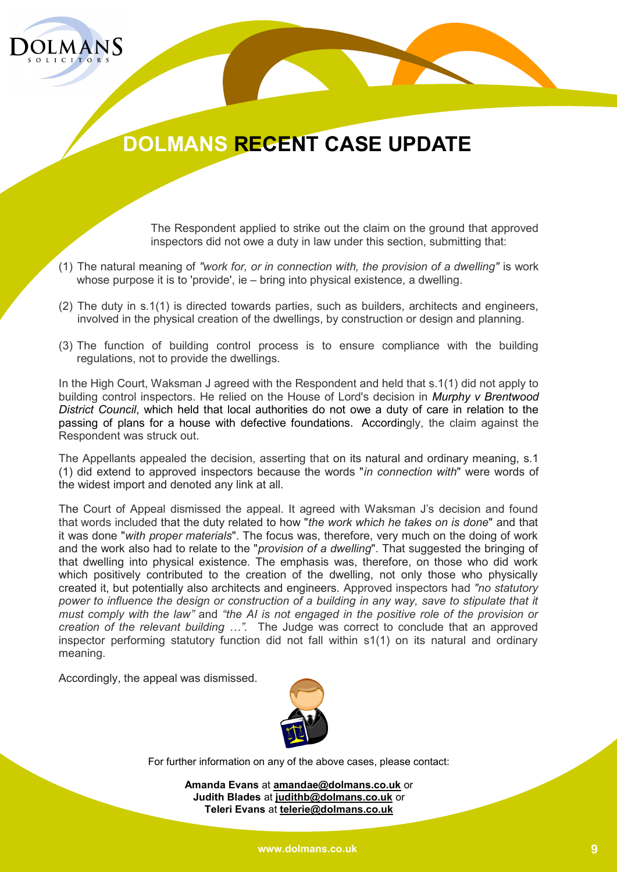

The Respondent applied to strike out the claim on the ground that approved inspectors did not owe a duty in law under this section, submitting that:

- (1) The natural meaning of *"work for, or in connection with, the provision of a dwelling"* is work whose purpose it is to 'provide', ie – bring into physical existence, a dwelling.
- (2) The duty in s.1(1) is directed towards parties, such as builders, architects and engineers, involved in the physical creation of the dwellings, by construction or design and planning.
- (3) The function of building control process is to ensure compliance with the building regulations, not to provide the dwellings.

In the High Court, Waksman J agreed with the Respondent and held that s.1(1) did not apply to building control inspectors. He relied on the House of Lord's decision in *[Murphy v Brentwood](https://www.casemine.com/judgement/uk/5a8ff8cb60d03e7f57ecd7db)  [District Council](https://www.casemine.com/judgement/uk/5a8ff8cb60d03e7f57ecd7db)*, which held that local authorities do not owe a duty of care in relation to the passing of plans for a house with defective foundations. Accordingly, the claim against the Respondent was struck out.

The Appellants appealed the decision, asserting that on its natural and ordinary meaning, s.1 (1) did extend to approved inspectors because the words "*in connection with*" were words of the widest import and denoted any link at all.

The Court of Appeal dismissed the appeal. It agreed with Waksman J's decision and found that words included that the duty related to how "*the work which he takes on is done*" and that it was done "*with proper materials*". The focus was, therefore, very much on the doing of work and the work also had to relate to the "*provision of a dwelling*". That suggested the bringing of that dwelling into physical existence. The emphasis was, therefore, on those who did work which positively contributed to the creation of the dwelling, not only those who physically created it, but potentially also architects and engineers. Approved inspectors had *"no statutory power to influence the design or construction of a building in any way, save to stipulate that it must comply with the law"* and *"the AI is not engaged in the positive role of the provision or creation of the relevant building …".* The Judge was correct to conclude that an approved inspector performing statutory function did not fall within s1(1) on its natural and ordinary meaning.

Accordingly, the appeal was dismissed.



For further information on any of the above cases, please contact:

**Amanda Evans** at **amandae@dolmans.co.uk** or **Judith Blades** at **judithb@dolmans.co.uk** or **Teleri Evans** at **telerie@dolmans.co.uk**